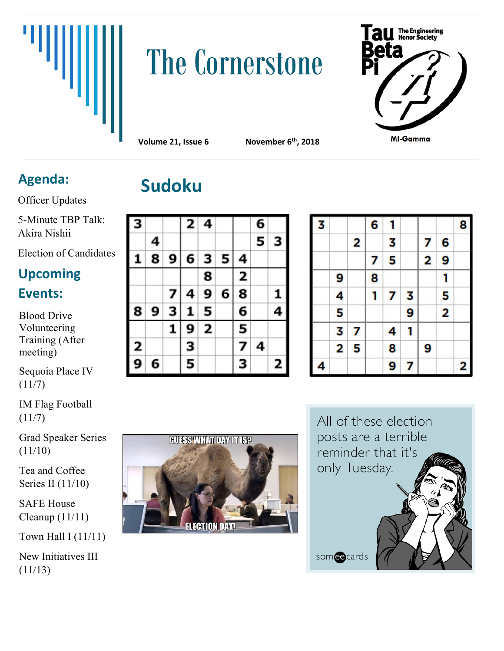

## **The Cornerstone**



**Volume 21, Issue 6 November 6th, 2018**

## **Sudoku Agenda:**

Officer Updates

5-Minute TBP Talk: Akira Nishii

Election of Candidates

## **Upcoming Events:**

Blood Drive Volunteering Training (After meeting)

Sequoia Place IV  $(11/7)$ 

IM Flag Football  $(11/7)$ 

Grad Speaker Series (11/10)

Tea and Coffee Series II (11/10)

SAFE House Cleanup (11/11)

Town Hall I (11/11)

New Initiatives III (11/13)

| З |   |   |   | 2 4 |   |   | 6 |   |
|---|---|---|---|-----|---|---|---|---|
|   | 4 |   |   |     |   |   | 5 | З |
| 1 | 8 | 9 | 6 | з   | 5 | 4 |   |   |
|   |   |   |   | 8   |   | 2 |   |   |
|   |   | 7 | 4 | 9   | 6 | 8 |   | 1 |
| 8 | 9 | 3 | 1 | 5   |   | 6 |   | 4 |
|   |   | 1 | 9 | 2   |   | 5 |   |   |
| 2 |   |   | З |     |   | 7 | 4 |   |
| 9 | 6 |   | 5 |     |   | з |   | 2 |

| 3 |   |   | 6 | 1 |   |   |                         | 8 |
|---|---|---|---|---|---|---|-------------------------|---|
|   |   | 2 |   | 3 |   | 7 | 6                       |   |
|   |   |   | 7 | 5 |   | 2 | 9                       |   |
|   | 9 |   | 8 |   |   |   | 1                       |   |
|   | 4 |   | 1 | 7 | 3 |   | 5                       |   |
|   | 5 |   |   |   | 9 |   | $\overline{\mathbf{c}}$ |   |
|   | 3 | 7 |   | 4 | 1 |   |                         |   |
|   | 2 | 5 |   | 8 |   | 9 |                         |   |
| 4 |   |   |   | 9 | 7 |   |                         | 2 |